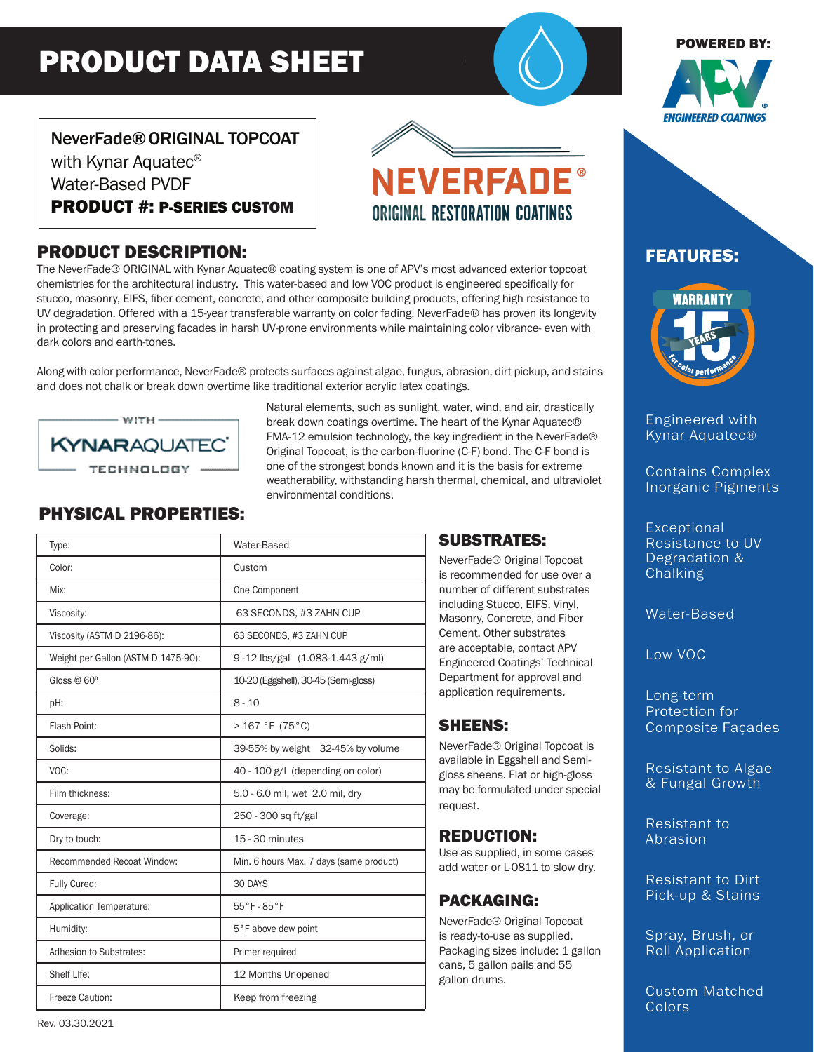# PRODUCT DATA SHEET

#### POWERED BY:



# NeverFade®ORIGINAL TOPCOAT with Kynar Aquatec<sup>®</sup> Water-Based PVDF PRODUCT #: P-SERIES CUSTOM

## PRODUCT DESCRIPTION:

The NeverFade® ORIGINAL with Kynar Aquatec® coating system is one of APV's most advanced exterior topcoat chemistries for the architectural industry. This water-based and low VOC product is engineered specifically for stucco, masonry, EIFS, fiber cement, concrete, and other composite building products, offering high resistance to UV degradation. Offered with a 15-year transferable warranty on color fading, NeverFade® has proven its longevity in protecting and preserving facades in harsh UV-prone environments while maintaining color vibrance- even with dark colors and earth-tones.

Along with color performance, NeverFade® protects surfaces against algae, fungus, abrasion, dirt pickup, and stains and does not chalk or break down overtime like traditional exterior acrylic latex coatings.



Natural elements, such as sunlight, water, wind, and air, drastically break down coatings overtime. The heart of the Kynar Aquatec® FMA-12 emulsion technology, the key ingredient in the NeverFade® Original Topcoat, is the carbon-fluorine (C-F) bond. The C-F bond is one of the strongest bonds known and it is the basis for extreme weatherability, withstanding harsh thermal, chemical, and ultraviolet environmental conditions.

**NEVERFADE** 

ORIGINAL RESTORATION COATINGS

# PHYSICAL PROPERTIES:

| Type:                               | Water-Based                             |
|-------------------------------------|-----------------------------------------|
| Color:                              | Custom                                  |
| Mix:                                | One Component                           |
| Viscosity:                          | 63 SECONDS, #3 ZAHN CUP                 |
| Viscosity (ASTM D 2196-86):         | 63 SECONDS, #3 ZAHN CUP                 |
| Weight per Gallon (ASTM D 1475-90): | 9-12 lbs/gal (1.083-1.443 g/ml)         |
| Gloss $@60°$                        | 10-20 (Eggshell), 30-45 (Semi-gloss)    |
| pH:                                 | $8 - 10$                                |
| Flash Point:                        | >167 °F (75 °C)                         |
| Solids:                             | 39-55% by weight 32-45% by volume       |
| VOC:                                | 40 - 100 g/l (depending on color)       |
| Film thickness:                     | 5.0 - 6.0 mil, wet 2.0 mil, dry         |
| Coverage:                           | 250 - 300 sq ft/gal                     |
| Dry to touch:                       | 15 - 30 minutes                         |
| Recommended Recoat Window:          | Min. 6 hours Max. 7 days (same product) |
| Fully Cured:                        | 30 DAYS                                 |
| Application Temperature:            | 55°F-85°F                               |
| Humidity:                           | 5°F above dew point                     |
| Adhesion to Substrates:             | Primer required                         |
| Shelf Llfe:                         | 12 Months Unopened                      |
| Freeze Caution:                     | Keep from freezing                      |

#### SUBSTRATES:

NeverFade® Original Topcoat is recommended for use over a number of different substrates including Stucco, EIFS, Vinyl, Masonry, Concrete, and Fiber Cement. Other substrates are acceptable, contact APV Engineered Coatings' Technical Department for approval and application requirements.

### SHEENS:

NeverFade® Original Topcoat is available in Eggshell and Semigloss sheens. Flat or high-gloss may be formulated under special request.

#### REDUCTION:

Use as supplied, in some cases add water or L-0811 to slow dry.

### PACKAGING:

NeverFade® Original Topcoat is ready-to-use as supplied. Packaging sizes include: 1 gallon cans, 5 gallon pails and 55 gallon drums.

# FEATURES:



Engineered with Kynar Aquatec®

Contains Complex Inorganic Pigments

**Exceptional** Resistance to UV Degradation & **Chalking** 

Water-Based

Low VOC

Long-term Protection for Composite Façades

Resistant to Algae & Fungal Growth

Resistant to Abrasion

Resistant to Dirt Pick-up & Stains

Spray, Brush, or Roll Application

Custom Matched **Colors**